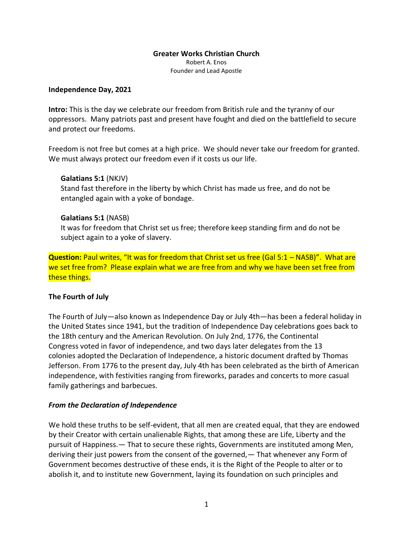# **Greater Works Christian Church**

Robert A. Enos Founder and Lead Apostle

#### **Independence Day, 2021**

**Intro:** This is the day we celebrate our freedom from British rule and the tyranny of our oppressors. Many patriots past and present have fought and died on the battlefield to secure and protect our freedoms.

Freedom is not free but comes at a high price. We should never take our freedom for granted. We must always protect our freedom even if it costs us our life.

#### **Galatians 5:1** (NKJV)

Stand fast therefore in the liberty by which Christ has made us free, and do not be entangled again with a yoke of bondage.

#### **Galatians 5:1** (NASB)

It was for freedom that Christ set us free; therefore keep standing firm and do not be subject again to a yoke of slavery.

**Question:** Paul writes, "It was for freedom that Christ set us free (Gal 5:1 – NASB)". What are we set free from? Please explain what we are free from and why we have been set free from these things.

#### **The Fourth of July**

The Fourth of July—also known as Independence Day or July 4th—has been a federal holiday in the United States since 1941, but the tradition of Independence Day celebrations goes back to the 18th century and the [American Revolution.](https://www.history.com/topics/american-revolution/american-revolution-history) On July 2nd, 1776, the [Continental](https://www.history.com/topics/american-revolution/the-continental-congress)  [Congress](https://www.history.com/topics/american-revolution/the-continental-congress) voted in favor of independence, and two days later delegates from the [13](https://www.history.com/topics/colonial-america/thirteen-colonies)  [colonies](https://www.history.com/topics/colonial-america/thirteen-colonies) adopted the Declaration of Independence, a historic document drafted by [Thomas](https://www.history.com/topics/us-presidents/thomas-jefferson)  [Jefferson.](https://www.history.com/topics/us-presidents/thomas-jefferson) From 1776 to the present day, July 4th has been celebrated as the birth of American independence, with festivities ranging from [fireworks,](https://www.history.com/news/july-4-fireworks-independence-day-john-adams) parades and concerts to more casual family gatherings and barbecues.

# *From the Declaration of Independence*

We hold these truths to be self-evident, that all men are created equal, that they are endowed by their Creator with certain unalienable Rights, that among these are Life, Liberty and the pursuit of Happiness.— That to secure these rights, Governments are instituted among Men, deriving their just powers from the consent of the governed,— That whenever any Form of Government becomes destructive of these ends, it is the Right of the People to alter or to abolish it, and to institute new Government, laying its foundation on such principles and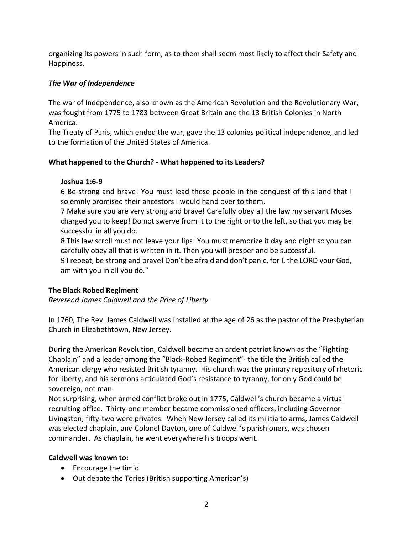organizing its powers in such form, as to them shall seem most likely to affect their Safety and Happiness.

# *The War of Independence*

The war of Independence, also known as the American Revolution and the Revolutionary War, was fought from 1775 to 1783 between Great Britain and the 13 British Colonies in North America.

The Treaty of Paris, which ended the war, gave the 13 colonies political independence, and led to the formation of the United States of America.

# **What happened to the Church? - What happened to its Leaders?**

# **Joshua 1:6-9**

6 Be strong and brave! You must lead these people in the conquest of this land that I solemnly promised their ancestors I would hand over to them.

7 Make sure you are very strong and brave! Carefully obey all the law my servant Moses charged you to keep! Do not swerve from it to the right or to the left, so that you may be successful in all you do.

8 This law scroll must not leave your lips! You must memorize it day and night so you can carefully obey all that is written in it. Then you will prosper and be successful.

9 I repeat, be strong and brave! Don't be afraid and don't panic, for I, the LORD your God, am with you in all you do."

# **The Black Robed Regiment**

*Reverend James Caldwell and the Price of Liberty*

In 1760, The Rev. James Caldwell was installed at the age of 26 as the pastor of the Presbyterian Church in Elizabethtown, New Jersey.

During the American Revolution, Caldwell became an ardent patriot known as the "Fighting Chaplain" and a leader among the "Black-Robed Regiment"- the title the British called the American clergy who resisted British tyranny. His church was the primary repository of rhetoric for liberty, and his sermons articulated God's resistance to tyranny, for only God could be sovereign, not man.

Not surprising, when armed conflict broke out in 1775, Caldwell's church became a virtual recruiting office. Thirty-one member became commissioned officers, including Governor Livingston; fifty-two were privates. When New Jersey called its militia to arms, James Caldwell was elected chaplain, and Colonel Dayton, one of Caldwell's parishioners, was chosen commander. As chaplain, he went everywhere his troops went.

# **Caldwell was known to:**

- Encourage the timid
- Out debate the Tories (British supporting American's)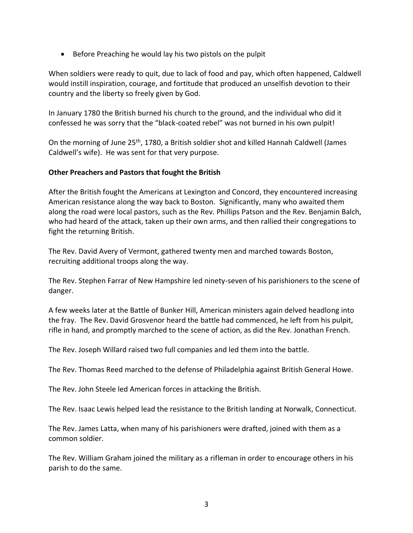• Before Preaching he would lay his two pistols on the pulpit

When soldiers were ready to quit, due to lack of food and pay, which often happened, Caldwell would instill inspiration, courage, and fortitude that produced an unselfish devotion to their country and the liberty so freely given by God.

In January 1780 the British burned his church to the ground, and the individual who did it confessed he was sorry that the "black-coated rebel" was not burned in his own pulpit!

On the morning of June 25th, 1780, a British soldier shot and killed Hannah Caldwell (James Caldwell's wife). He was sent for that very purpose.

# **Other Preachers and Pastors that fought the British**

After the British fought the Americans at Lexington and Concord, they encountered increasing American resistance along the way back to Boston. Significantly, many who awaited them along the road were local pastors, such as the Rev. Phillips Patson and the Rev. Benjamin Balch, who had heard of the attack, taken up their own arms, and then rallied their congregations to fight the returning British.

The Rev. David Avery of Vermont, gathered twenty men and marched towards Boston, recruiting additional troops along the way.

The Rev. Stephen Farrar of New Hampshire led ninety-seven of his parishioners to the scene of danger.

A few weeks later at the Battle of Bunker Hill, American ministers again delved headlong into the fray. The Rev. David Grosvenor heard the battle had commenced, he left from his pulpit, rifle in hand, and promptly marched to the scene of action, as did the Rev. Jonathan French.

The Rev. Joseph Willard raised two full companies and led them into the battle.

The Rev. Thomas Reed marched to the defense of Philadelphia against British General Howe.

The Rev. John Steele led American forces in attacking the British.

The Rev. Isaac Lewis helped lead the resistance to the British landing at Norwalk, Connecticut.

The Rev. James Latta, when many of his parishioners were drafted, joined with them as a common soldier.

The Rev. William Graham joined the military as a rifleman in order to encourage others in his parish to do the same.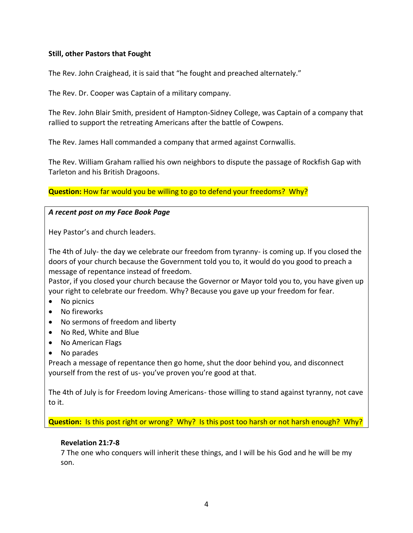#### **Still, other Pastors that Fought**

The Rev. John Craighead, it is said that "he fought and preached alternately."

The Rev. Dr. Cooper was Captain of a military company.

The Rev. John Blair Smith, president of Hampton-Sidney College, was Captain of a company that rallied to support the retreating Americans after the battle of Cowpens.

The Rev. James Hall commanded a company that armed against Cornwallis.

The Rev. William Graham rallied his own neighbors to dispute the passage of Rockfish Gap with Tarleton and his British Dragoons.

**Question:** How far would you be willing to go to defend your freedoms? Why?

#### *A recent post on my Face Book Page*

Hey Pastor's and church leaders.

The 4th of July- the day we celebrate our freedom from tyranny- is coming up. If you closed the doors of your church because the Government told you to, it would do you good to preach a message of repentance instead of freedom.

Pastor, if you closed your church because the Governor or Mayor told you to, you have given up your right to celebrate our freedom. Why? Because you gave up your freedom for fear.

- No picnics
- No fireworks
- No sermons of freedom and liberty
- No Red, White and Blue
- No American Flags
- No parades

Preach a message of repentance then go home, shut the door behind you, and disconnect yourself from the rest of us- you've proven you're good at that.

The 4th of July is for Freedom loving Americans- those willing to stand against tyranny, not cave to it.

**Question:** Is this post right or wrong? Why? Is this post too harsh or not harsh enough? Why?

#### **Revelation 21:7-8**

7 The one who conquers will inherit these things, and I will be his God and he will be my son.